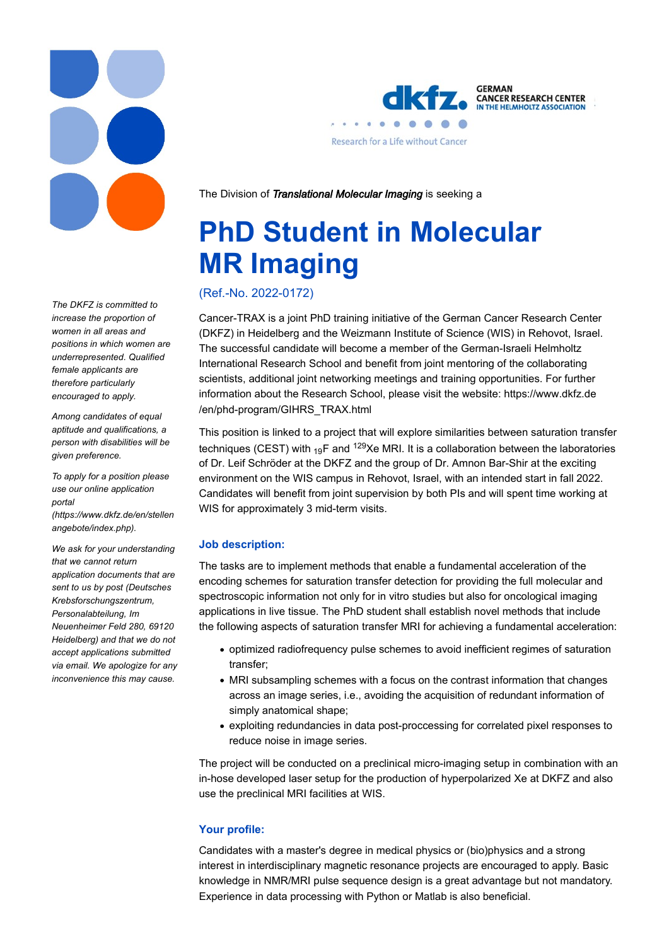

The DKFZ is committed to increase the proportion of women in all areas and positions in which women are underrepresented. Qualified female applicants are therefore particularly encouraged to apply.

Among candidates of equal aptitude and qualifications, a person with disabilities will be given preference.

To apply for a position please use our online application portal (https://www.dkfz.de/en/stellen angebote/index.php).

We ask for your understanding that we cannot return application documents that are sent to us by post (Deutsches Krebsforschungszentrum, Personalabteilung, Im Neuenheimer Feld 280, 69120 Heidelberg) and that we do not accept applications submitted via email. We apologize for any inconvenience this may cause.



**CANCER RESEARCH CENTER** IN THE HELMHOLTZ ASSOCIATION

The Division of Translational Molecular Imaging is seeking a

# PhD Student in Molecular MR Imaging

(Ref.-No. 2022-0172)

Cancer-TRAX is a joint PhD training initiative of the German Cancer Research Center (DKFZ) in Heidelberg and the Weizmann Institute of Science (WIS) in Rehovot, Israel. The successful candidate will become a member of the German-Israeli Helmholtz International Research School and benefit from joint mentoring of the collaborating scientists, additional joint networking meetings and training opportunities. For further information about the Research School, please visit the website: https://www.dkfz.de /en/phd-program/GIHRS\_TRAX.html

This position is linked to a project that will explore similarities between saturation transfer techniques (CEST) with <sub>19</sub>F and <sup>129</sup>Xe MRI. It is a collaboration between the laboratories of Dr. Leif Schröder at the DKFZ and the group of Dr. Amnon Bar-Shir at the exciting environment on the WIS campus in Rehovot, Israel, with an intended start in fall 2022. Candidates will benefit from joint supervision by both PIs and will spent time working at WIS for approximately 3 mid-term visits.

# Job description:

The tasks are to implement methods that enable a fundamental acceleration of the encoding schemes for saturation transfer detection for providing the full molecular and spectroscopic information not only for in vitro studies but also for oncological imaging applications in live tissue. The PhD student shall establish novel methods that include the following aspects of saturation transfer MRI for achieving a fundamental acceleration:

- optimized radiofrequency pulse schemes to avoid inefficient regimes of saturation transfer;
- MRI subsampling schemes with a focus on the contrast information that changes across an image series, i.e., avoiding the acquisition of redundant information of simply anatomical shape;
- exploiting redundancies in data post-proccessing for correlated pixel responses to reduce noise in image series.

The project will be conducted on a preclinical micro-imaging setup in combination with an in-hose developed laser setup for the production of hyperpolarized Xe at DKFZ and also use the preclinical MRI facilities at WIS.

# Your profile:

Candidates with a master's degree in medical physics or (bio)physics and a strong interest in interdisciplinary magnetic resonance projects are encouraged to apply. Basic knowledge in NMR/MRI pulse sequence design is a great advantage but not mandatory. Experience in data processing with Python or Matlab is also beneficial.